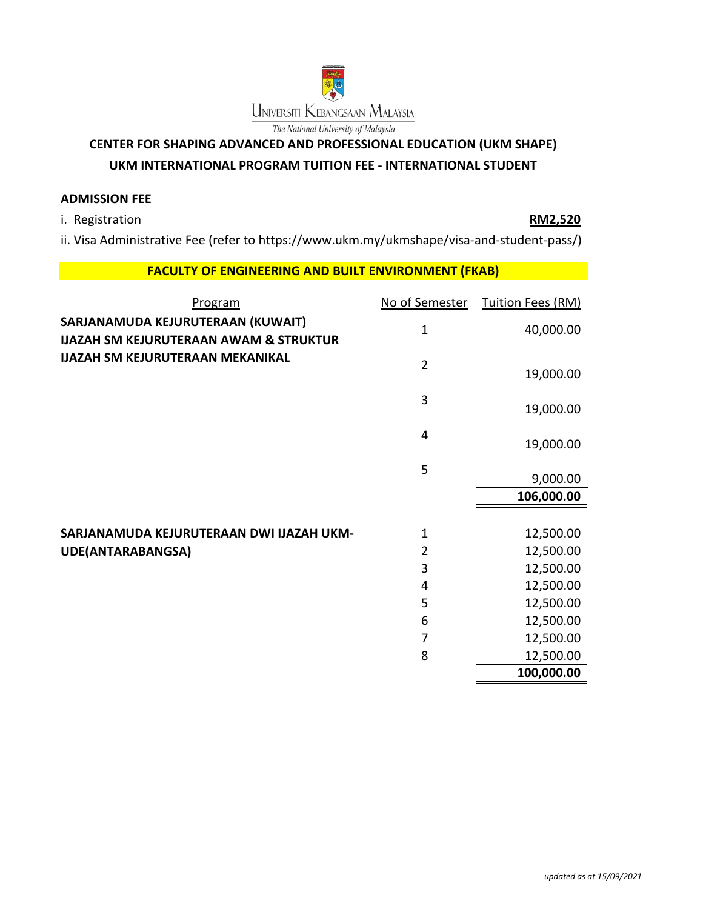

# **CENTER FOR SHAPING ADVANCED AND PROFESSIONAL EDUCATION (UKM SHAPE)**

## **UKM INTERNATIONAL PROGRAM TUITION FEE - INTERNATIONAL STUDENT**

### **ADMISSION FEE**

i. Registration **RM2,520**

ii. Visa Administrative Fee (refer to https://www.ukm.my/ukmshape/visa-and-student-pass/)

## **FACULTY OF ENGINEERING AND BUILT ENVIRONMENT (FKAB)**

| Program                                                                                | No of Semester | Tuition Fees (RM) |
|----------------------------------------------------------------------------------------|----------------|-------------------|
| SARJANAMUDA KEJURUTERAAN (KUWAIT)<br><b>IJAZAH SM KEJURUTERAAN AWAM &amp; STRUKTUR</b> | $\mathbf{1}$   | 40,000.00         |
| <b>IJAZAH SM KEJURUTERAAN MEKANIKAL</b>                                                | $\overline{2}$ | 19,000.00         |
|                                                                                        | 3              | 19,000.00         |
|                                                                                        | 4              | 19,000.00         |
|                                                                                        | 5              | 9,000.00          |
|                                                                                        |                |                   |
|                                                                                        |                | 106,000.00        |
|                                                                                        |                |                   |
| SARJANAMUDA KEJURUTERAAN DWI IJAZAH UKM-                                               | $\mathbf 1$    | 12,500.00         |
| <b>UDE(ANTARABANGSA)</b>                                                               | $\overline{2}$ | 12,500.00         |
|                                                                                        | 3              | 12,500.00         |
|                                                                                        | 4              | 12,500.00         |
|                                                                                        | 5              | 12,500.00         |
|                                                                                        | 6              | 12,500.00         |
|                                                                                        | 7              | 12,500.00         |
|                                                                                        | 8              | 12,500.00         |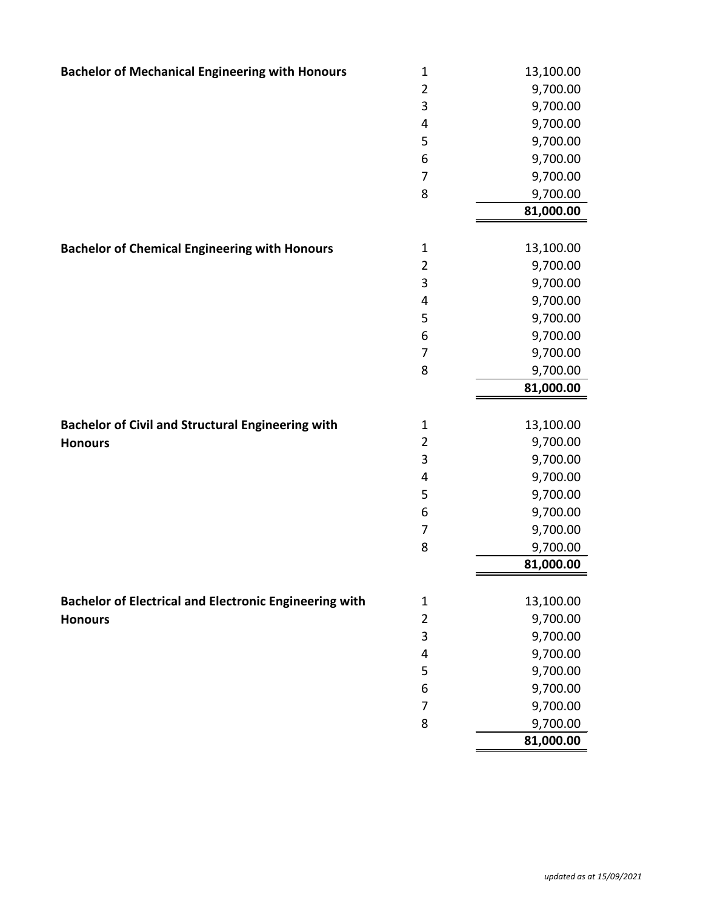| <b>Bachelor of Mechanical Engineering with Honours</b>        | $\mathbf 1$    | 13,100.00 |
|---------------------------------------------------------------|----------------|-----------|
|                                                               | $\overline{2}$ | 9,700.00  |
|                                                               | 3              | 9,700.00  |
|                                                               | 4              | 9,700.00  |
|                                                               | 5              | 9,700.00  |
|                                                               | 6              | 9,700.00  |
|                                                               | $\overline{7}$ | 9,700.00  |
|                                                               | 8              | 9,700.00  |
|                                                               |                | 81,000.00 |
|                                                               |                |           |
| <b>Bachelor of Chemical Engineering with Honours</b>          | $\mathbf{1}$   | 13,100.00 |
|                                                               | $\overline{2}$ | 9,700.00  |
|                                                               | 3              | 9,700.00  |
|                                                               | 4              | 9,700.00  |
|                                                               | 5              | 9,700.00  |
|                                                               | 6              | 9,700.00  |
|                                                               | $\overline{7}$ | 9,700.00  |
|                                                               | 8              | 9,700.00  |
|                                                               |                | 81,000.00 |
|                                                               |                |           |
| <b>Bachelor of Civil and Structural Engineering with</b>      | $\mathbf 1$    | 13,100.00 |
| <b>Honours</b>                                                | $\overline{2}$ | 9,700.00  |
|                                                               | 3              | 9,700.00  |
|                                                               | 4              | 9,700.00  |
|                                                               | 5              | 9,700.00  |
|                                                               | 6              | 9,700.00  |
|                                                               | 7              | 9,700.00  |
|                                                               | 8              | 9,700.00  |
|                                                               |                | 81,000.00 |
|                                                               |                |           |
| <b>Bachelor of Electrical and Electronic Engineering with</b> | 1              | 13,100.00 |
| <b>Honours</b>                                                | $\overline{2}$ | 9,700.00  |
|                                                               | 3              | 9,700.00  |
|                                                               | 4              | 9,700.00  |
|                                                               | 5              | 9,700.00  |
|                                                               | 6              | 9,700.00  |
|                                                               | $\overline{7}$ | 9,700.00  |
|                                                               | 8              | 9,700.00  |
|                                                               |                | 81,000.00 |